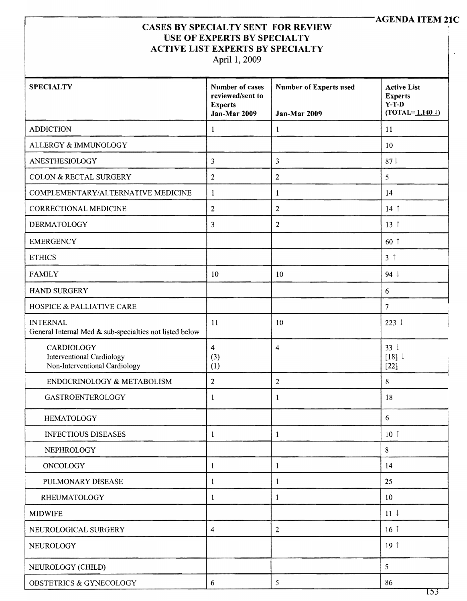## AGENDA ITEM 2**lC**

## CASES BY SPECIALTY SENT FOR REVIEW USE OF EXPERTS BY SPECIALTY ACTIVE LIST EXPERTS BY SPECIALTY

April 1, 2009

| <b>SPECIALTY</b>                                                           | Number of cases<br>reviewed/sent to<br><b>Experts</b><br>Jan-Mar 2009 | <b>Number of Experts used</b><br>Jan-Mar 2009 | <b>Active List</b><br><b>Experts</b><br>$Y-T-D$<br>$(TOTAL = 1,1401)$ |
|----------------------------------------------------------------------------|-----------------------------------------------------------------------|-----------------------------------------------|-----------------------------------------------------------------------|
| <b>ADDICTION</b>                                                           | $\mathbf{1}$                                                          | 1                                             | 11                                                                    |
| ALLERGY & IMMUNOLOGY                                                       |                                                                       |                                               | 10                                                                    |
| ANESTHESIOLOGY                                                             | 3                                                                     | 3                                             | 87 <sup>1</sup>                                                       |
| COLON & RECTAL SURGERY                                                     | 2                                                                     | $\overline{c}$                                | 5                                                                     |
| COMPLEMENTARY/ALTERNATIVE MEDICINE                                         | 1                                                                     | 1                                             | 14                                                                    |
| CORRECTIONAL MEDICINE                                                      | $\overline{2}$                                                        | $\overline{2}$                                | $14$ 1                                                                |
| <b>DERMATOLOGY</b>                                                         | $\overline{\mathbf{3}}$                                               | $\overline{2}$                                | 13 <sup>†</sup>                                                       |
| <b>EMERGENCY</b>                                                           |                                                                       |                                               | 60 1                                                                  |
| <b>ETHICS</b>                                                              |                                                                       |                                               | 3 <sup>†</sup>                                                        |
| <b>FAMILY</b>                                                              | 10                                                                    | 10                                            | 94 $\downarrow$                                                       |
| HAND SURGERY                                                               |                                                                       |                                               | 6                                                                     |
| <b>HOSPICE &amp; PALLIATIVE CARE</b>                                       |                                                                       |                                               | $\overline{7}$                                                        |
| <b>INTERNAL</b><br>General Internal Med & sub-specialties not listed below | 11                                                                    | 10                                            | $223 \downarrow$                                                      |
| CARDIOLOGY<br>Interventional Cardiology<br>Non-Interventional Cardiology   | $\overline{4}$<br>(3)<br>(1)                                          | 4                                             | $33 \downarrow$<br>[18]<br>$[22]$                                     |
| ENDOCRINOLOGY & METABOLISM                                                 | $\overline{2}$                                                        | $\overline{c}$                                | 8                                                                     |
| GASTROENTEROLOGY                                                           | 1                                                                     | $\mathbf{1}$                                  | 18                                                                    |
| <b>HEMATOLOGY</b>                                                          |                                                                       |                                               | 6                                                                     |
| <b>INFECTIOUS DISEASES</b>                                                 | 1                                                                     | $\mathbf{1}$                                  | 10 <sup>†</sup>                                                       |
| NEPHROLOGY                                                                 |                                                                       |                                               | 8                                                                     |
| ONCOLOGY                                                                   | 1                                                                     | $\mathbf{1}$                                  | 14                                                                    |
| PULMONARY DISEASE                                                          | 1                                                                     | 1                                             | 25                                                                    |
| <b>RHEUMATOLOGY</b>                                                        | $\mathbf 1$                                                           | $\mathbf{1}$                                  | 10                                                                    |
| <b>MIDWIFE</b>                                                             |                                                                       |                                               | $11 \downarrow$                                                       |
| NEUROLOGICAL SURGERY                                                       | $\overline{4}$                                                        | $\overline{2}$                                | 16 <sup>†</sup>                                                       |
| NEUROLOGY                                                                  |                                                                       |                                               | 19 <sup>†</sup>                                                       |
| NEUROLOGY (CHILD)                                                          |                                                                       |                                               | 5                                                                     |
| OBSTETRICS & GYNECOLOGY                                                    | 6                                                                     | $\mathfrak s$                                 | 86                                                                    |